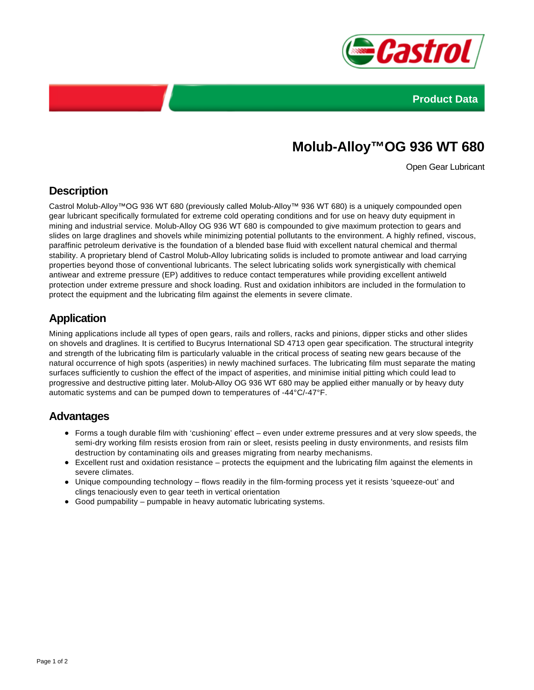



# **Molub-Alloy™OG 936 WT 680**

Open Gear Lubricant

### **Description**

Castrol Molub-Alloy™OG 936 WT 680 (previously called Molub-Alloy™ 936 WT 680) is a uniquely compounded open gear lubricant specifically formulated for extreme cold operating conditions and for use on heavy duty equipment in mining and industrial service. Molub-Alloy OG 936 WT 680 is compounded to give maximum protection to gears and slides on large draglines and shovels while minimizing potential pollutants to the environment. A highly refined, viscous, paraffinic petroleum derivative is the foundation of a blended base fluid with excellent natural chemical and thermal stability. A proprietary blend of Castrol Molub-Alloy lubricating solids is included to promote antiwear and load carrying properties beyond those of conventional lubricants. The select lubricating solids work synergistically with chemical antiwear and extreme pressure (EP) additives to reduce contact temperatures while providing excellent antiweld protection under extreme pressure and shock loading. Rust and oxidation inhibitors are included in the formulation to protect the equipment and the lubricating film against the elements in severe climate.

### **Application**

Mining applications include all types of open gears, rails and rollers, racks and pinions, dipper sticks and other slides on shovels and draglines. It is certified to Bucyrus International SD 4713 open gear specification. The structural integrity and strength of the lubricating film is particularly valuable in the critical process of seating new gears because of the natural occurrence of high spots (asperities) in newly machined surfaces. The lubricating film must separate the mating surfaces sufficiently to cushion the effect of the impact of asperities, and minimise initial pitting which could lead to progressive and destructive pitting later. Molub-Alloy OG 936 WT 680 may be applied either manually or by heavy duty automatic systems and can be pumped down to temperatures of -44°C/-47°F.

### **Advantages**

- Forms a tough durable film with 'cushioning' effect even under extreme pressures and at very slow speeds, the semi-dry working film resists erosion from rain or sleet, resists peeling in dusty environments, and resists film destruction by contaminating oils and greases migrating from nearby mechanisms.
- Excellent rust and oxidation resistance protects the equipment and the lubricating film against the elements in severe climates.
- Unique compounding technology flows readily in the film-forming process yet it resists 'squeeze-out' and clings tenaciously even to gear teeth in vertical orientation
- Good pumpability pumpable in heavy automatic lubricating systems.